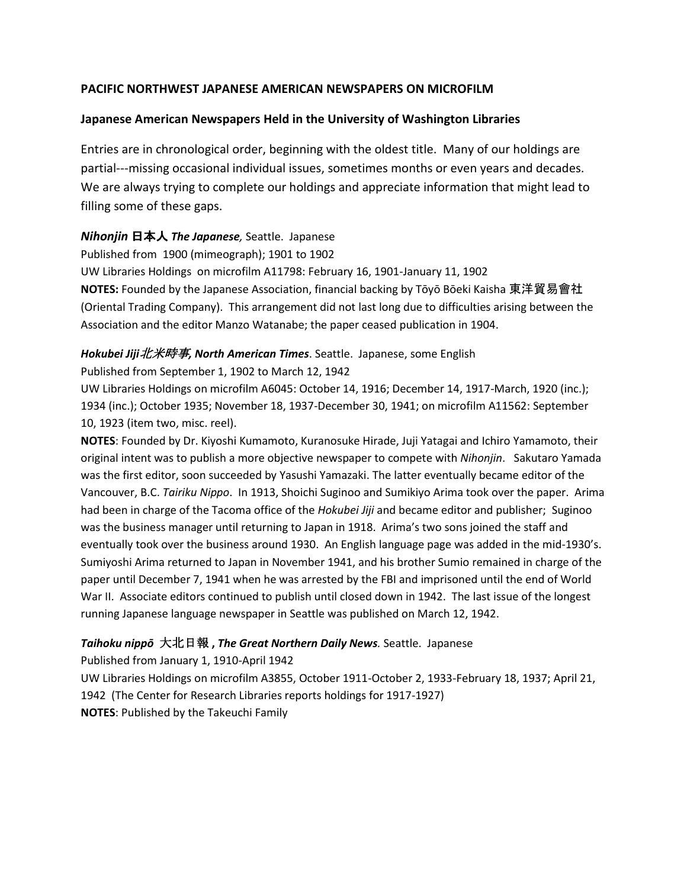## **PACIFIC NORTHWEST JAPANESE AMERICAN NEWSPAPERS ON MICROFILM**

## **Japanese American Newspapers Held in the University of Washington Libraries**

Entries are in chronological order, beginning with the oldest title. Many of our holdings are partial---missing occasional individual issues, sometimes months or even years and decades. We are always trying to complete our holdings and appreciate information that might lead to filling some of these gaps.

## *Nihonjin* 日本人 *The Japanese,* Seattle. Japanese

Published from 1900 (mimeograph); 1901 to 1902

UW Libraries Holdings on microfilm A11798: February 16, 1901-January 11, 1902

**NOTES:** Founded by the Japanese Association, financial backing by Tōyō Bōeki Kaisha 東洋貿易會社 (Oriental Trading Company). This arrangement did not last long due to difficulties arising between the Association and the editor Manzo Watanabe; the paper ceased publication in 1904.

## *Hokubei Jiji*北米時事*, North American Times*. Seattle. Japanese, some English

Published from September 1, 1902 to March 12, 1942

UW Libraries Holdings on microfilm A6045: October 14, 1916; December 14, 1917-March, 1920 (inc.); 1934 (inc.); October 1935; November 18, 1937-December 30, 1941; on microfilm A11562: September 10, 1923 (item two, misc. reel).

**NOTES**: Founded by Dr. Kiyoshi Kumamoto, Kuranosuke Hirade, Juji Yatagai and Ichiro Yamamoto, their original intent was to publish a more objective newspaper to compete with *Nihonjin*. Sakutaro Yamada was the first editor, soon succeeded by Yasushi Yamazaki. The latter eventually became editor of the Vancouver, B.C. *Tairiku Nippo*. In 1913, Shoichi Suginoo and Sumikiyo Arima took over the paper. Arima had been in charge of the Tacoma office of the *Hokubei Jiji* and became editor and publisher; Suginoo was the business manager until returning to Japan in 1918. Arima's two sons joined the staff and eventually took over the business around 1930. An English language page was added in the mid-1930's. Sumiyoshi Arima returned to Japan in November 1941, and his brother Sumio remained in charge of the paper until December 7, 1941 when he was arrested by the FBI and imprisoned until the end of World War II. Associate editors continued to publish until closed down in 1942. The last issue of the longest running Japanese language newspaper in Seattle was published on March 12, 1942.

# *Taihoku nippō* 大北日報 **,** *The Great Northern Daily News.* Seattle. Japanese

Published from January 1, 1910-April 1942 UW Libraries Holdings on microfilm A3855, October 1911-October 2, 1933-February 18, 1937; April 21, 1942 (The Center for Research Libraries reports holdings for 1917-1927) **NOTES**: Published by the Takeuchi Family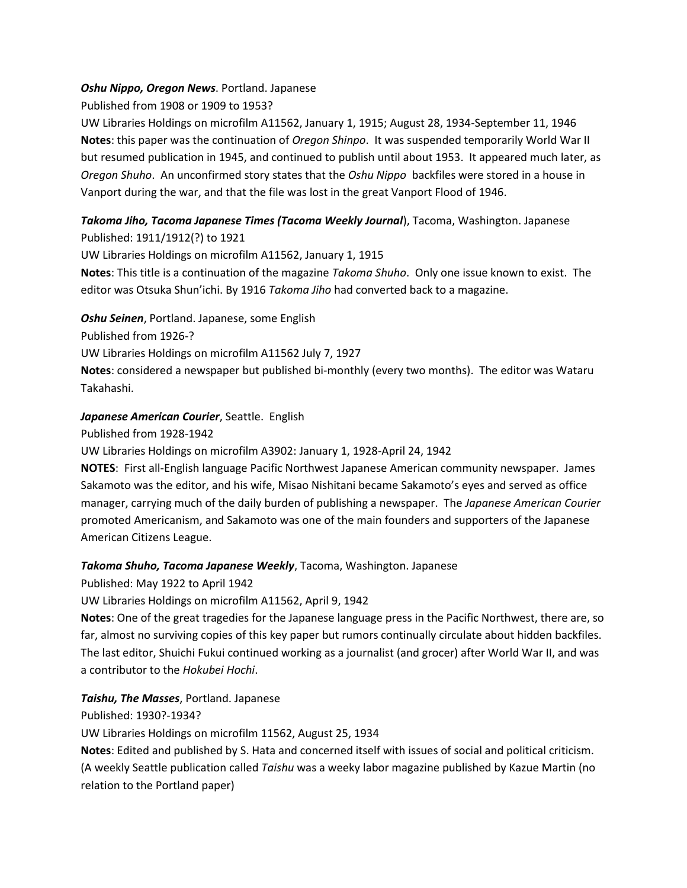### *Oshu Nippo, Oregon News*. Portland. Japanese

Published from 1908 or 1909 to 1953?

UW Libraries Holdings on microfilm A11562, January 1, 1915; August 28, 1934-September 11, 1946 **Notes**: this paper was the continuation of *Oregon Shinpo*. It was suspended temporarily World War II but resumed publication in 1945, and continued to publish until about 1953. It appeared much later, as *Oregon Shuho*. An unconfirmed story states that the *Oshu Nippo* backfiles were stored in a house in Vanport during the war, and that the file was lost in the great Vanport Flood of 1946.

## *Takoma Jiho, Tacoma Japanese Times (Tacoma Weekly Journal*), Tacoma, Washington. Japanese Published: 1911/1912(?) to 1921

UW Libraries Holdings on microfilm A11562, January 1, 1915 **Notes**: This title is a continuation of the magazine *Takoma Shuho*. Only one issue known to exist. The editor was Otsuka Shun'ichi. By 1916 *Takoma Jiho* had converted back to a magazine.

*Oshu Seinen*, Portland. Japanese, some English

Published from 1926-?

UW Libraries Holdings on microfilm A11562 July 7, 1927

**Notes**: considered a newspaper but published bi-monthly (every two months). The editor was Wataru Takahashi.

## *Japanese American Courier*, Seattle. English

Published from 1928-1942

UW Libraries Holdings on microfilm A3902: January 1, 1928-April 24, 1942

**NOTES**: First all-English language Pacific Northwest Japanese American community newspaper. James Sakamoto was the editor, and his wife, Misao Nishitani became Sakamoto's eyes and served as office manager, carrying much of the daily burden of publishing a newspaper. The *Japanese American Courier* promoted Americanism, and Sakamoto was one of the main founders and supporters of the Japanese American Citizens League.

## *Takoma Shuho, Tacoma Japanese Weekly*, Tacoma, Washington. Japanese

Published: May 1922 to April 1942

UW Libraries Holdings on microfilm A11562, April 9, 1942

**Notes**: One of the great tragedies for the Japanese language press in the Pacific Northwest, there are, so far, almost no surviving copies of this key paper but rumors continually circulate about hidden backfiles. The last editor, Shuichi Fukui continued working as a journalist (and grocer) after World War II, and was a contributor to the *Hokubei Hochi*.

## *Taishu, The Masses*, Portland. Japanese

Published: 1930?-1934?

UW Libraries Holdings on microfilm 11562, August 25, 1934

**Notes**: Edited and published by S. Hata and concerned itself with issues of social and political criticism. (A weekly Seattle publication called *Taishu* was a weeky labor magazine published by Kazue Martin (no relation to the Portland paper)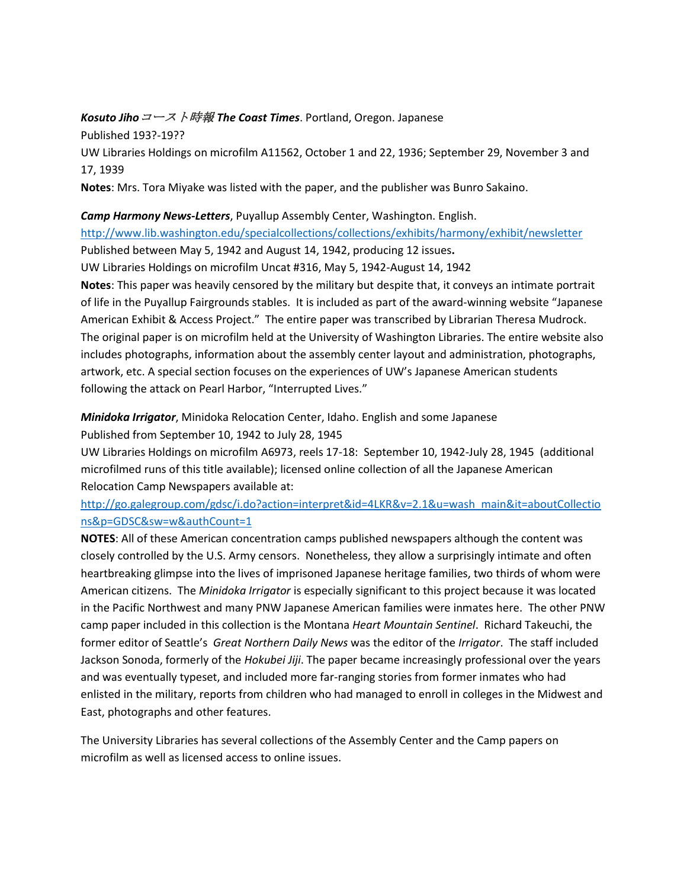#### *Kosuto Jiho*コースト時報 *The Coast Times*. Portland, Oregon. Japanese

Published 193?-19??

UW Libraries Holdings on microfilm A11562, October 1 and 22, 1936; September 29, November 3 and 17, 1939

**Notes**: Mrs. Tora Miyake was listed with the paper, and the publisher was Bunro Sakaino.

### *Camp Harmony News-Letters*, Puyallup Assembly Center, Washington. English.

<http://www.lib.washington.edu/specialcollections/collections/exhibits/harmony/exhibit/newsletter> Published between May 5, 1942 and August 14, 1942, producing 12 issues**.** 

UW Libraries Holdings on microfilm Uncat #316, May 5, 1942-August 14, 1942

**Notes**: This paper was heavily censored by the military but despite that, it conveys an intimate portrait of life in the Puyallup Fairgrounds stables. It is included as part of the award-winning website "Japanese American Exhibit & Access Project." The entire paper was transcribed by Librarian Theresa Mudrock. The original paper is on microfilm held at the University of Washington Libraries. The entire website also includes photographs, information about the assembly center layout and administration, photographs, artwork, etc. A special section focuses on the experiences of UW's Japanese American students following the attack on Pearl Harbor, "Interrupted Lives."

## *Minidoka Irrigator*, Minidoka Relocation Center, Idaho. English and some Japanese Published from September 10, 1942 to July 28, 1945

UW Libraries Holdings on microfilm A6973, reels 17-18: September 10, 1942-July 28, 1945 (additional microfilmed runs of this title available); licensed online collection of all the Japanese American Relocation Camp Newspapers available at:

# [http://go.galegroup.com/gdsc/i.do?action=interpret&id=4LKR&v=2.1&u=wash\\_main&it=aboutCollectio](http://go.galegroup.com/gdsc/i.do?action=interpret&id=4LKR&v=2.1&u=wash_main&it=aboutCollections&p=GDSC&sw=w&authCount=1) [ns&p=GDSC&sw=w&authCount=1](http://go.galegroup.com/gdsc/i.do?action=interpret&id=4LKR&v=2.1&u=wash_main&it=aboutCollections&p=GDSC&sw=w&authCount=1)

**NOTES**: All of these American concentration camps published newspapers although the content was closely controlled by the U.S. Army censors. Nonetheless, they allow a surprisingly intimate and often heartbreaking glimpse into the lives of imprisoned Japanese heritage families, two thirds of whom were American citizens. The *Minidoka Irrigator* is especially significant to this project because it was located in the Pacific Northwest and many PNW Japanese American families were inmates here. The other PNW camp paper included in this collection is the Montana *Heart Mountain Sentinel*. Richard Takeuchi, the former editor of Seattle's *Great Northern Daily News* was the editor of the *Irrigator*. The staff included Jackson Sonoda, formerly of the *Hokubei Jiji*. The paper became increasingly professional over the years and was eventually typeset, and included more far-ranging stories from former inmates who had enlisted in the military, reports from children who had managed to enroll in colleges in the Midwest and East, photographs and other features.

The University Libraries has several collections of the Assembly Center and the Camp papers on microfilm as well as licensed access to online issues.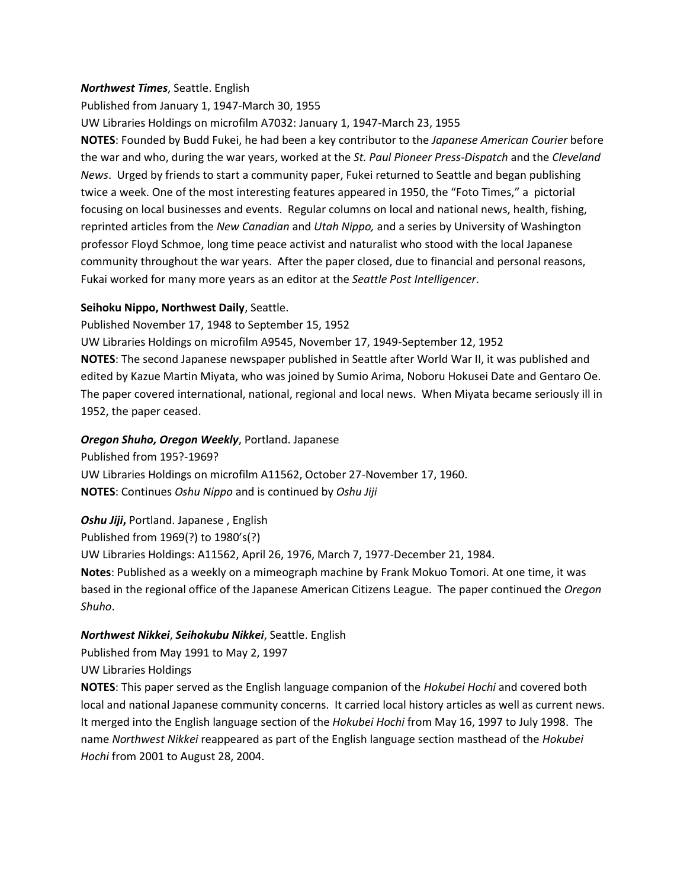#### *Northwest Times*, Seattle. English

Published from January 1, 1947-March 30, 1955

UW Libraries Holdings on microfilm A7032: January 1, 1947-March 23, 1955

**NOTES**: Founded by Budd Fukei, he had been a key contributor to the *Japanese American Courier* before the war and who, during the war years, worked at the *St. Paul Pioneer Press-Dispatch* and the *Cleveland News*. Urged by friends to start a community paper, Fukei returned to Seattle and began publishing twice a week. One of the most interesting features appeared in 1950, the "Foto Times," a pictorial focusing on local businesses and events. Regular columns on local and national news, health, fishing, reprinted articles from the *New Canadian* and *Utah Nippo,* and a series by University of Washington professor Floyd Schmoe, long time peace activist and naturalist who stood with the local Japanese community throughout the war years. After the paper closed, due to financial and personal reasons, Fukai worked for many more years as an editor at the *Seattle Post Intelligencer*.

#### **Seihoku Nippo, Northwest Daily**, Seattle.

Published November 17, 1948 to September 15, 1952

UW Libraries Holdings on microfilm A9545, November 17, 1949-September 12, 1952 **NOTES**: The second Japanese newspaper published in Seattle after World War II, it was published and edited by Kazue Martin Miyata, who was joined by Sumio Arima, Noboru Hokusei Date and Gentaro Oe. The paper covered international, national, regional and local news. When Miyata became seriously ill in 1952, the paper ceased.

#### *Oregon Shuho, Oregon Weekly*, Portland. Japanese

Published from 195?-1969? UW Libraries Holdings on microfilm A11562, October 27-November 17, 1960. **NOTES**: Continues *Oshu Nippo* and is continued by *Oshu Jiji*

*Oshu Jiji***,** Portland. Japanese , English Published from 1969(?) to 1980's(?) UW Libraries Holdings: A11562, April 26, 1976, March 7, 1977-December 21, 1984. **Notes**: Published as a weekly on a mimeograph machine by Frank Mokuo Tomori. At one time, it was based in the regional office of the Japanese American Citizens League. The paper continued the *Oregon Shuho*.

#### *Northwest Nikkei*, *Seihokubu Nikkei*, Seattle. English

Published from May 1991 to May 2, 1997 UW Libraries Holdings

**NOTES**: This paper served as the English language companion of the *Hokubei Hochi* and covered both local and national Japanese community concerns. It carried local history articles as well as current news. It merged into the English language section of the *Hokubei Hochi* from May 16, 1997 to July 1998. The name *Northwest Nikkei* reappeared as part of the English language section masthead of the *Hokubei Hochi* from 2001 to August 28, 2004.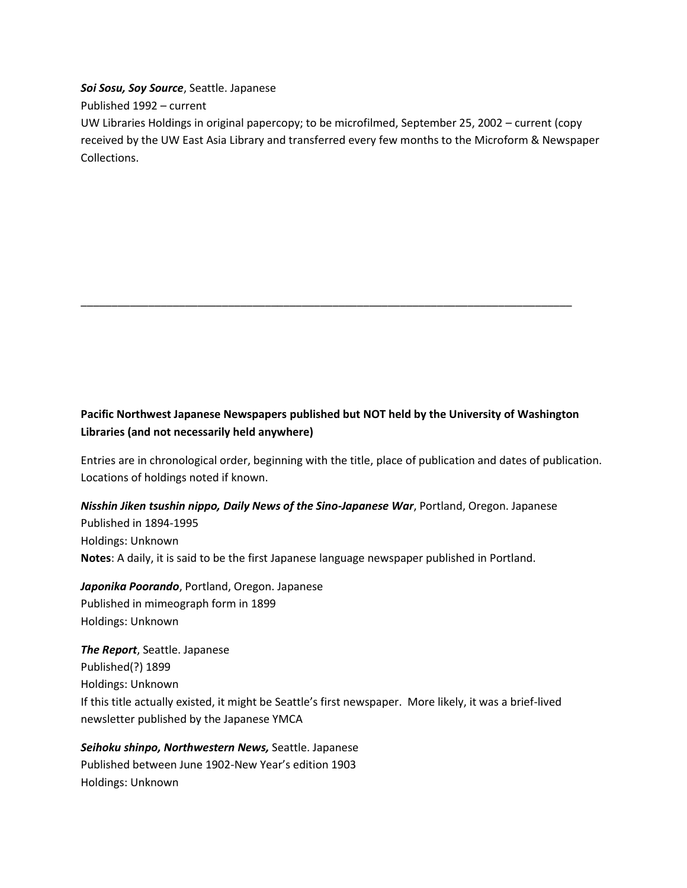*Soi Sosu, Soy Source*, Seattle. Japanese

Published 1992 – current

UW Libraries Holdings in original papercopy; to be microfilmed, September 25, 2002 – current (copy received by the UW East Asia Library and transferred every few months to the Microform & Newspaper Collections.

# **Pacific Northwest Japanese Newspapers published but NOT held by the University of Washington Libraries (and not necessarily held anywhere)**

\_\_\_\_\_\_\_\_\_\_\_\_\_\_\_\_\_\_\_\_\_\_\_\_\_\_\_\_\_\_\_\_\_\_\_\_\_\_\_\_\_\_\_\_\_\_\_\_\_\_\_\_\_\_\_\_\_\_\_\_\_\_\_\_\_\_\_\_\_\_\_\_\_\_\_\_\_\_\_\_

Entries are in chronological order, beginning with the title, place of publication and dates of publication. Locations of holdings noted if known.

# *Nisshin Jiken tsushin nippo, Daily News of the Sino-Japanese War*, Portland, Oregon. Japanese Published in 1894-1995

Holdings: Unknown **Notes**: A daily, it is said to be the first Japanese language newspaper published in Portland.

*Japonika Poorando*, Portland, Oregon. Japanese Published in mimeograph form in 1899 Holdings: Unknown

*The Report*, Seattle. Japanese Published(?) 1899 Holdings: Unknown If this title actually existed, it might be Seattle's first newspaper. More likely, it was a brief-lived newsletter published by the Japanese YMCA

# *Seihoku shinpo, Northwestern News,* Seattle. Japanese Published between June 1902-New Year's edition 1903 Holdings: Unknown